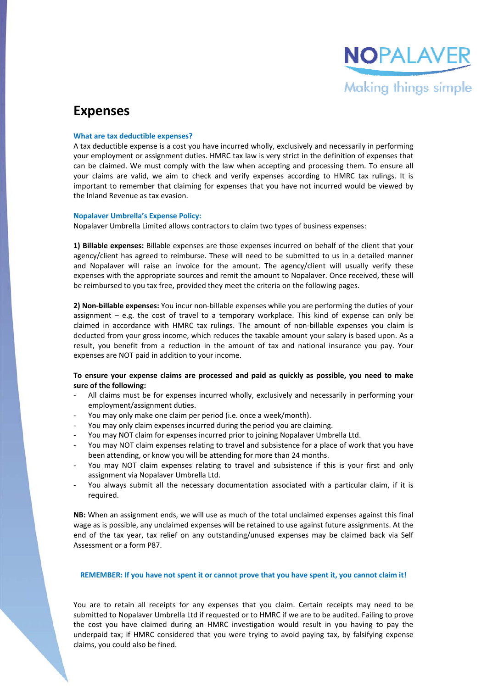

## **Expenses**

#### **What are tax deductible expenses?**

A tax deductible expense is a cost you have incurred wholly, exclusively and necessarily in performing your employment or assignment duties. HMRC tax law is very strict in the definition of expenses that can be claimed. We must comply with the law when accepting and processing them. To ensure all your claims are valid, we aim to check and verify expenses according to HMRC tax rulings. It is important to remember that claiming for expenses that you have not incurred would be viewed by the Inland Revenue as tax evasion.

#### **Nopalaver Umbrella's Expense Policy:**

Nopalaver Umbrella Limited allows contractors to claim two types of business expenses:

**1) Billable expenses:** Billable expenses are those expenses incurred on behalf of the client that your agency/client has agreed to reimburse. These will need to be submitted to us in a detailed manner and Nopalaver will raise an invoice for the amount. The agency/client will usually verify these expenses with the appropriate sources and remit the amount to Nopalaver. Once received, these will be reimbursed to you tax free, provided they meet the criteria on the following pages.

**2) Non‐billable expenses:** You incur non‐billable expenses while you are performing the duties of your assignment  $-$  e.g. the cost of travel to a temporary workplace. This kind of expense can only be claimed in accordance with HMRC tax rulings. The amount of non-billable expenses you claim is deducted from your gross income, which reduces the taxable amount your salary is based upon. As a result, you benefit from a reduction in the amount of tax and national insurance you pay. Your expenses are NOT paid in addition to your income.

### **To ensure your expense claims are processed and paid as quickly as possible, you need to make sure of the following:**

- All claims must be for expenses incurred wholly, exclusively and necessarily in performing your employment/assignment duties.
- You may only make one claim per period (i.e. once a week/month).
- You may only claim expenses incurred during the period you are claiming.
- ‐ You may NOT claim for expenses incurred prior to joining Nopalaver Umbrella Ltd.
- You may NOT claim expenses relating to travel and subsistence for a place of work that you have been attending, or know you will be attending for more than 24 months.
- You may NOT claim expenses relating to travel and subsistence if this is your first and only assignment via Nopalaver Umbrella Ltd.
- You always submit all the necessary documentation associated with a particular claim, if it is required.

**NB:** When an assignment ends, we will use as much of the total unclaimed expenses against this final wage as is possible, any unclaimed expenses will be retained to use against future assignments. At the end of the tax year, tax relief on any outstanding/unused expenses may be claimed back via Self Assessment or a form P87.

#### REMEMBER: If you have not spent it or cannot prove that you have spent it, you cannot claim it!

You are to retain all receipts for any expenses that you claim. Certain receipts may need to be submitted to Nopalaver Umbrella Ltd if requested or to HMRC if we are to be audited. Failing to prove the cost you have claimed during an HMRC investigation would result in you having to pay the underpaid tax; if HMRC considered that you were trying to avoid paying tax, by falsifying expense claims, you could also be fined.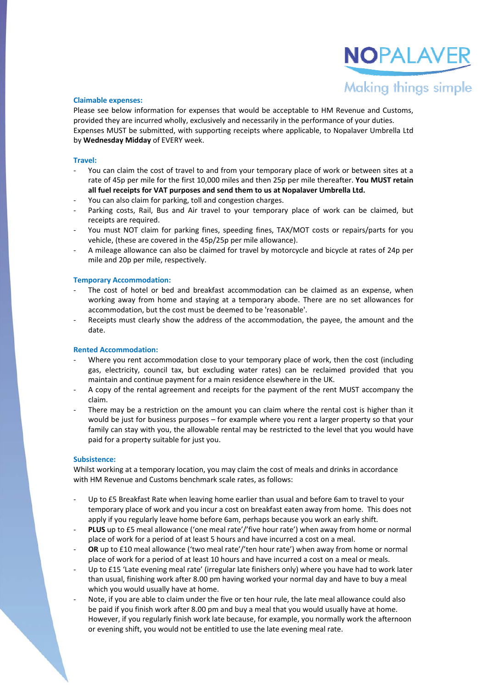# NOPALAVE Making things simple

#### **Claimable expenses:**

Please see below information for expenses that would be acceptable to HM Revenue and Customs, provided they are incurred wholly, exclusively and necessarily in the performance of your duties. Expenses MUST be submitted, with supporting receipts where applicable, to Nopalaver Umbrella Ltd by **Wednesday Midday** of EVERY week.

#### **Travel:**

- You can claim the cost of travel to and from your temporary place of work or between sites at a rate of 45p per mile for the first 10,000 miles and then 25p per mile thereafter. **You MUST retain all fuel receipts for VAT purposes and send them to us at Nopalaver Umbrella Ltd.**
- You can also claim for parking, toll and congestion charges.
- Parking costs, Rail, Bus and Air travel to your temporary place of work can be claimed, but receipts are required.
- ‐ You must NOT claim for parking fines, speeding fines, TAX/MOT costs or repairs/parts for you vehicle, (these are covered in the 45p/25p per mile allowance).
- ‐ A mileage allowance can also be claimed for travel by motorcycle and bicycle at rates of 24p per mile and 20p per mile, respectively.

#### **Temporary Accommodation:**

- The cost of hotel or bed and breakfast accommodation can be claimed as an expense, when working away from home and staying at a temporary abode. There are no set allowances for accommodation, but the cost must be deemed to be 'reasonable'.
- Receipts must clearly show the address of the accommodation, the payee, the amount and the date.

#### **Rented Accommodation:**

- Where you rent accommodation close to your temporary place of work, then the cost (including gas, electricity, council tax, but excluding water rates) can be reclaimed provided that you maintain and continue payment for a main residence elsewhere in the UK.
- ‐ A copy of the rental agreement and receipts for the payment of the rent MUST accompany the claim.
- There may be a restriction on the amount you can claim where the rental cost is higher than it would be just for business purposes – for example where you rent a larger property so that your family can stay with you, the allowable rental may be restricted to the level that you would have paid for a property suitable for just you.

#### **Subsistence:**

Whilst working at a temporary location, you may claim the cost of meals and drinks in accordance with HM Revenue and Customs benchmark scale rates, as follows:

- Up to £5 Breakfast Rate when leaving home earlier than usual and before 6am to travel to your temporary place of work and you incur a cost on breakfast eaten away from home. This does not apply if you regularly leave home before 6am, perhaps because you work an early shift.
- ‐ **PLUS** up to £5 meal allowance ('one meal rate'/'five hour rate') when away from home or normal place of work for a period of at least 5 hours and have incurred a cost on a meal.
- ‐ **OR** up to £10 meal allowance ('two meal rate'/'ten hour rate') when away from home or normal place of work for a period of at least 10 hours and have incurred a cost on a meal or meals.
- Up to £15 'Late evening meal rate' (irregular late finishers only) where you have had to work later than usual, finishing work after 8.00 pm having worked your normal day and have to buy a meal which you would usually have at home.
- Note, if you are able to claim under the five or ten hour rule, the late meal allowance could also be paid if you finish work after 8.00 pm and buy a meal that you would usually have at home. However, if you regularly finish work late because, for example, you normally work the afternoon or evening shift, you would not be entitled to use the late evening meal rate.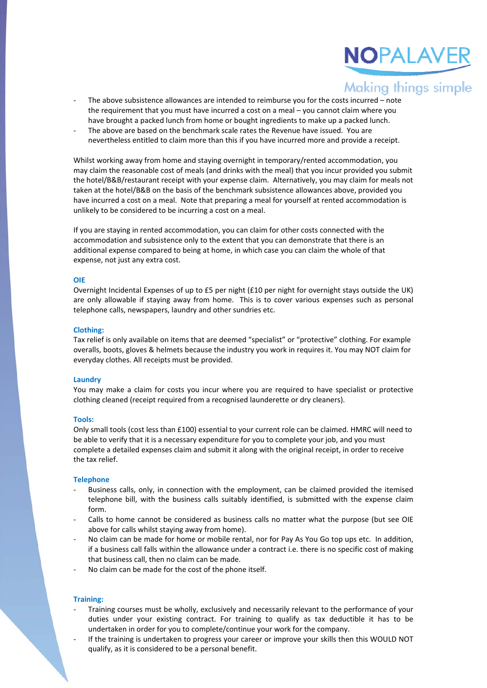

- The above subsistence allowances are intended to reimburse you for the costs incurred note the requirement that you must have incurred a cost on a meal – you cannot claim where you have brought a packed lunch from home or bought ingredients to make up a packed lunch.
- The above are based on the benchmark scale rates the Revenue have issued. You are nevertheless entitled to claim more than this if you have incurred more and provide a receipt.

Whilst working away from home and staying overnight in temporary/rented accommodation, you may claim the reasonable cost of meals (and drinks with the meal) that you incur provided you submit the hotel/B&B/restaurant receipt with your expense claim. Alternatively, you may claim for meals not taken at the hotel/B&B on the basis of the benchmark subsistence allowances above, provided you have incurred a cost on a meal. Note that preparing a meal for yourself at rented accommodation is unlikely to be considered to be incurring a cost on a meal.

If you are staying in rented accommodation, you can claim for other costs connected with the accommodation and subsistence only to the extent that you can demonstrate that there is an additional expense compared to being at home, in which case you can claim the whole of that expense, not just any extra cost.

#### **OIE**

Overnight Incidental Expenses of up to £5 per night (£10 per night for overnight stays outside the UK) are only allowable if staying away from home. This is to cover various expenses such as personal telephone calls, newspapers, laundry and other sundries etc.

#### **Clothing:**

Tax relief is only available on items that are deemed "specialist" or "protective" clothing. For example overalls, boots, gloves & helmets because the industry you work in requires it. You may NOT claim for everyday clothes. All receipts must be provided.

#### **Laundry**

You may make a claim for costs you incur where you are required to have specialist or protective clothing cleaned (receipt required from a recognised launderette or dry cleaners).

#### **Tools:**

Only small tools (cost less than £100) essential to your current role can be claimed. HMRC will need to be able to verify that it is a necessary expenditure for you to complete your job, and you must complete a detailed expenses claim and submit it along with the original receipt, in order to receive the tax relief.

#### **Telephone**

- ‐ Business calls, only, in connection with the employment, can be claimed provided the itemised telephone bill, with the business calls suitably identified, is submitted with the expense claim form.
- Calls to home cannot be considered as business calls no matter what the purpose (but see OIE above for calls whilst staying away from home).
- No claim can be made for home or mobile rental, nor for Pay As You Go top ups etc. In addition, if a business call falls within the allowance under a contract i.e. there is no specific cost of making that business call, then no claim can be made.
- ‐ No claim can be made for the cost of the phone itself.

#### **Training:**

- ‐ Training courses must be wholly, exclusively and necessarily relevant to the performance of your duties under your existing contract. For training to qualify as tax deductible it has to be undertaken in order for you to complete/continue your work for the company.
- If the training is undertaken to progress your career or improve your skills then this WOULD NOT qualify, as it is considered to be a personal benefit.